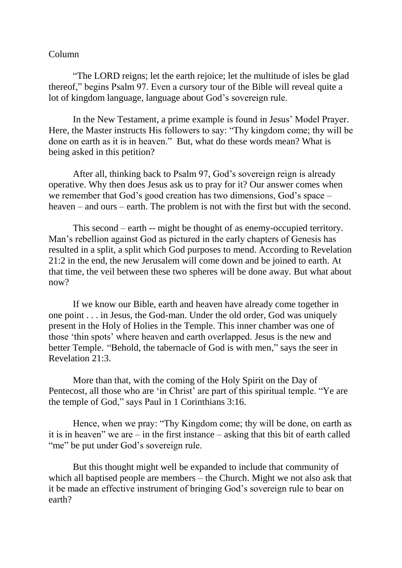## Column

"The LORD reigns; let the earth rejoice; let the multitude of isles be glad thereof," begins Psalm 97. Even a cursory tour of the Bible will reveal quite a lot of kingdom language, language about God's sovereign rule.

In the New Testament, a prime example is found in Jesus' Model Prayer. Here, the Master instructs His followers to say: "Thy kingdom come; thy will be done on earth as it is in heaven." But, what do these words mean? What is being asked in this petition?

After all, thinking back to Psalm 97, God's sovereign reign is already operative. Why then does Jesus ask us to pray for it? Our answer comes when we remember that God's good creation has two dimensions, God's space – heaven – and ours – earth. The problem is not with the first but with the second.

This second – earth -- might be thought of as enemy-occupied territory. Man's rebellion against God as pictured in the early chapters of Genesis has resulted in a split, a split which God purposes to mend. According to Revelation 21:2 in the end, the new Jerusalem will come down and be joined to earth. At that time, the veil between these two spheres will be done away. But what about now?

If we know our Bible, earth and heaven have already come together in one point . . . in Jesus, the God-man. Under the old order, God was uniquely present in the Holy of Holies in the Temple. This inner chamber was one of those 'thin spots' where heaven and earth overlapped. Jesus is the new and better Temple. "Behold, the tabernacle of God is with men," says the seer in Revelation 21:3.

More than that, with the coming of the Holy Spirit on the Day of Pentecost, all those who are 'in Christ' are part of this spiritual temple. "Ye are the temple of God," says Paul in 1 Corinthians 3:16.

Hence, when we pray: "Thy Kingdom come; thy will be done, on earth as it is in heaven" we are  $-$  in the first instance  $-$  asking that this bit of earth called "me" be put under God's sovereign rule.

But this thought might well be expanded to include that community of which all baptised people are members – the Church. Might we not also ask that it be made an effective instrument of bringing God's sovereign rule to bear on earth?